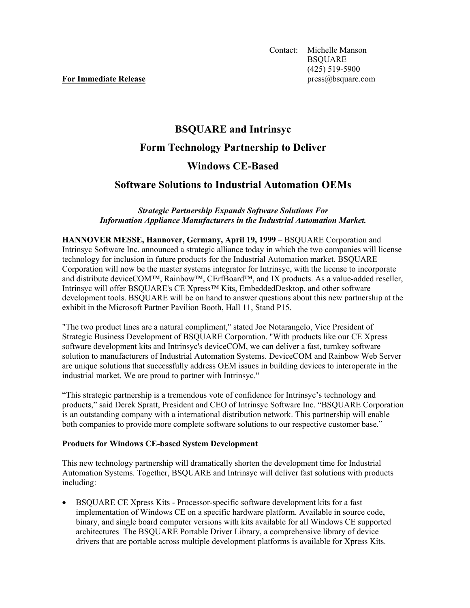# **BSQUARE and Intrinsyc**

## **Form Technology Partnership to Deliver**

# **Windows CE-Based**

## **Software Solutions to Industrial Automation OEMs**

### *Strategic Partnership Expands Software Solutions For Information Appliance Manufacturers in the Industrial Automation Market.*

**HANNOVER MESSE, Hannover, Germany, April 19, 1999** *–* BSQUARE Corporation and Intrinsyc Software Inc. announced a strategic alliance today in which the two companies will license technology for inclusion in future products for the Industrial Automation market. BSQUARE Corporation will now be the master systems integrator for Intrinsyc, with the license to incorporate and distribute deviceCOM™, Rainbow™, CErfBoard™, and IX products. As a value-added reseller, Intrinsyc will offer BSQUARE's CE Xpress™ Kits, EmbeddedDesktop, and other software development tools. BSQUARE will be on hand to answer questions about this new partnership at the exhibit in the Microsoft Partner Pavilion Booth, Hall 11, Stand P15.

"The two product lines are a natural compliment," stated Joe Notarangelo, Vice President of Strategic Business Development of BSQUARE Corporation. "With products like our CE Xpress software development kits and Intrinsyc's deviceCOM, we can deliver a fast, turnkey software solution to manufacturers of Industrial Automation Systems. DeviceCOM and Rainbow Web Server are unique solutions that successfully address OEM issues in building devices to interoperate in the industrial market. We are proud to partner with Intrinsyc."

"This strategic partnership is a tremendous vote of confidence for Intrinsyc's technology and products," said Derek Spratt, President and CEO of Intrinsyc Software Inc. "BSQUARE Corporation is an outstanding company with a international distribution network. This partnership will enable both companies to provide more complete software solutions to our respective customer base."

### **Products for Windows CE-based System Development**

This new technology partnership will dramatically shorten the development time for Industrial Automation Systems. Together, BSQUARE and Intrinsyc will deliver fast solutions with products including:

• BSQUARE CE Xpress Kits - Processor-specific software development kits for a fast implementation of Windows CE on a specific hardware platform. Available in source code, binary, and single board computer versions with kits available for all Windows CE supported architectures The BSQUARE Portable Driver Library, a comprehensive library of device drivers that are portable across multiple development platforms is available for Xpress Kits.